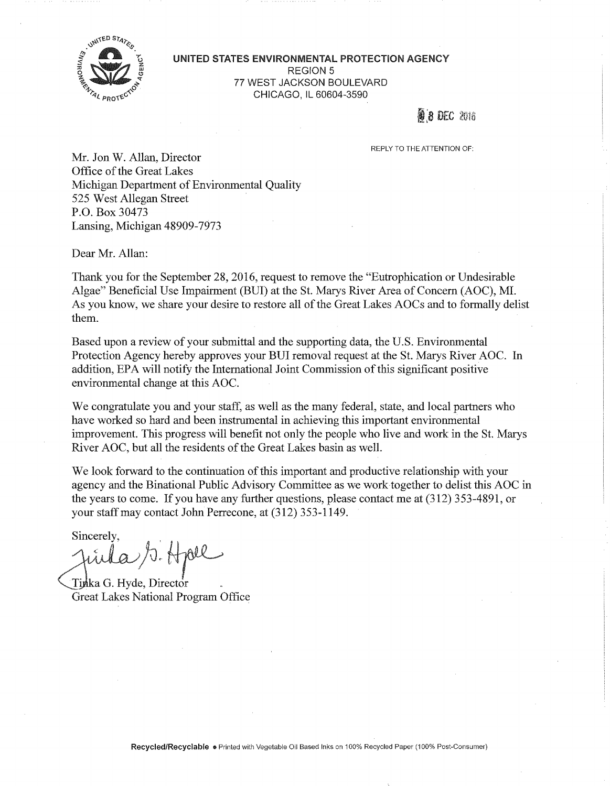

**UNITED STATES ENVIRONMENTAL PROTECTION AGENCY**  REGION 5 77 WEST JACKSON BOULEVARD CHICAGO, ll 60604-3590

**8 DEC 2016** 

REPLY TO THE ATTENTION OF:

Mr. Jon W. Allan, Director Office of the Great Lakes Michigan Department of Environmental Quality 525 West Allegan Street P.O. Box 30473 Lansing, Michigan 48909-7973

Dear Mr. Allan:

Thank you for the September 28, 2016, request to remove the "Eutrophication or Undesirable Algae" Beneficial Use Impairment (BUI) at the St. Marys River Area of Concern (AOC), MI. As you know, we share your desire to restore all of the Great Lakes AOCs and to formally delist them.

Based upon a review of your submittal and the supporting data, the U.S. Environmental Protection Agency hereby approves your BUI removal request at the St. Marys River AOC. In addition, EPA will notify the International Joint Commission of this significant positive environmental change at this AOC.

We congratulate you and your staff, as well as the many federal, state, and local partners who have worked so hard and been instrumental in achieving this important environmental improvement. This progress will benefit not only the people who live and work in the St. Marys River AOC, but all the residents of the Great Lakes basin as well.

We look forward to the continuation of this important and productive relationship with your agency and the Binational Public Advisory Committee as we work together to delist this AOC in the years to come. If you have any further questions, please contact me at (312) 3 53-4891, or your staff may contact John Perrecone, at (312) 353-1149.

Sincerely,<br>Juila S. Holl

Tinka G. Hyde, Director Great Lakes National Program Office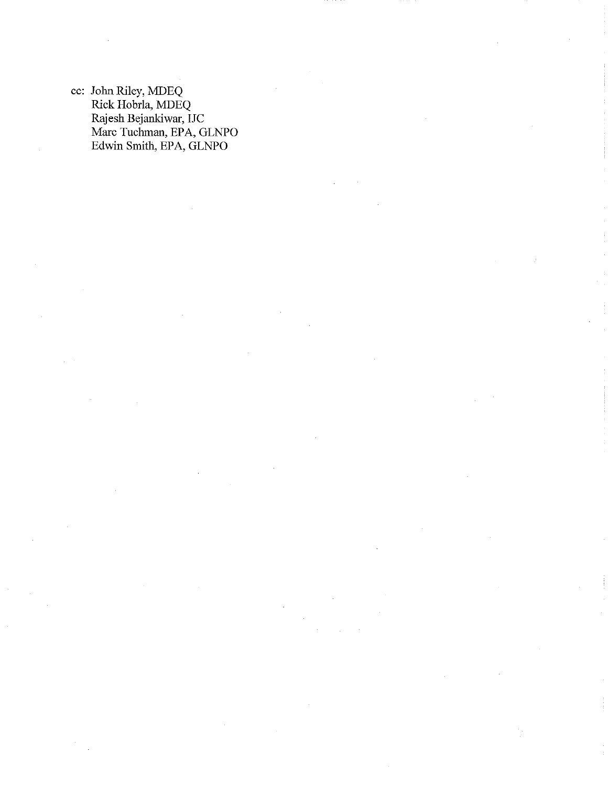cc: John Riley, MDEQ Rick Hobrla, MDEQ Rajesh Bejankiwar, IJC Marc Tuchman, EPA, GLNPO Edwin Smith, EPA, GLNPO

ÿ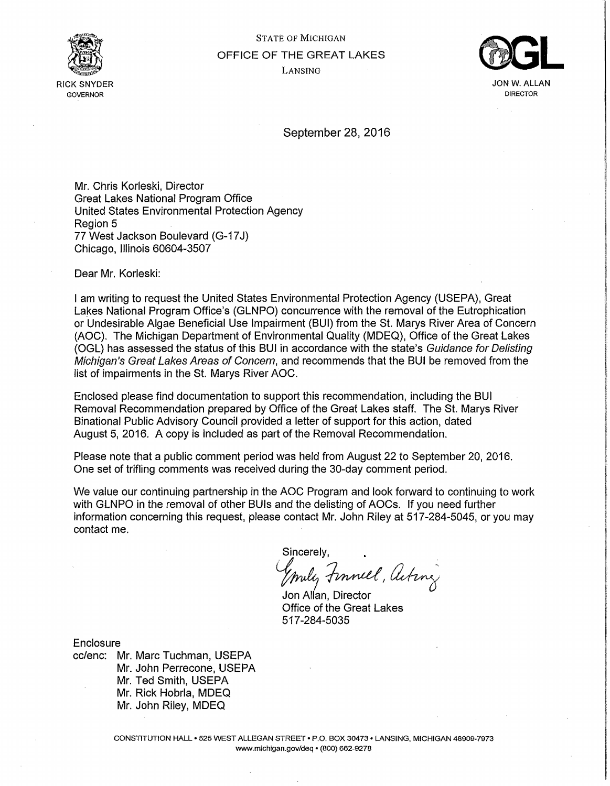

# STATE OF MICHIGAN OFFICE OF THE GREAT LAKES LANSING



DIRECTOR

September 28, 2016

Mr. Chris Korleski, Director Great Lakes National Program Office United States Environmental Protection Agency Region 5 77 West Jackson Boulevard (G-17J) Chicago, Illinois 60604-3507

Dear Mr. Korleski:

I am writing to request the United States Environmental Protection Agency (USEPA), Great Lakes National Program Office's (GLNPO) concurrence with the removal of the Eutrophication or Undesirable Algae Beneficial Use Impairment {BUI) from the St. Marys River Area of Concern (AOC). The Michigan Department of Environmental Quality (MDEQ), Office of the Great Lakes (OGL) has assessed the status of this BUI in accordance with the state's Guidance for Delisting Michigan's Great Lakes Areas of Concern, and recommends that the BUI be removed from the list of impairments in the St. Marys River AOC.

Enclosed please find documentation to support this recommendation, including the BUI Removal Recommendation prepared by Office of the Great Lakes staff. The St. Marys River Binational Public Advisory Council provided a letter of support for this action, dated August 5, 2016. A copy is included as part of the Removal Recommendation.

Please note that a public comment period was held from August 22 to September 20, 2016. One set of trifling comments was received during the 30-day comment period.

We value our continuing partnership in the AOC Program and look forward to continuing to work with GLNPO in the removal of other BUls and the delisting of AOCs. If you need further information concerning this request, please contact Mr. John Riley at 517-284-5045, or you may contact me.

Sincerely, y muli, Finnell, Acting

Office of the Great Lakes 517 -284-5035

**Enclosure** 

cc/enc: Mr. Marc Tuchman, USEPA Mr. John Perrecone, USEPA Mr. Ted Smith, USEPA Mr. Rick Hobrla, MDEQ Mr. John Riley, MDEQ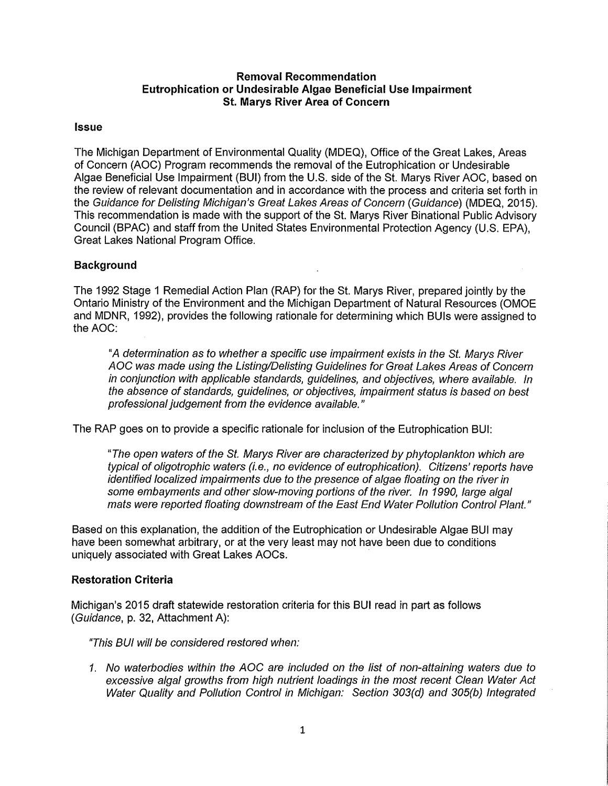### **Removal Recommendation Eutrophication or Undesirable Algae Beneficial Use Impairment St. Marys River Area of Concern**

### **Issue**

The Michigan Department of Environmental Quality (MDEQ}, Office of the Great Lakes, Areas of Concern (AOC) Program recommends the removal of the Eutrophication or Undesirable Algae Beneficial Use Impairment (BUI) from the U.S. side of the St. Marys River AOC, based on the review of relevant documentation and in accordance with the process and criteria set forth in the Guidance for Delisting Michigan's Great Lakes Areas of Concern (Guidance) (MDEQ, 2015). This recommendation is made with the support of the St. Marys River Binational Public Advisory Council {BPAC) and staff from the United States Environmental Protection Agency (U.S. EPA), Great Lakes National Program Office.

### **Background**

The 1992 Stage 1 Remedial Action Plan (RAP) for the St. Marys River, prepared jointly by the Ontario Ministry of the Environment and the Michigan Department of Natural Resources (OMOE and MDNR, 1992), provides the following rationale for determining which BUls were assigned to the **AOC:** 

"A determination as to whether a specific use impairment exists in the St. Marys River AOC was made using the Listing/Delisting Guidelines for Great Lakes Areas of Concern in conjunction with applicable standards, guidelines, and objectives, where available. In the absence of standards, guidelines, or objectives, impairment status is based on best professional judgement from the evidence available. "

The RAP goes on to provide a specific rationale for inclusion of the Eutrophication BUI:

"The open waters of the St. Marys River are characterized by phytoplankton which are typical of oligotrophic waters (i.e., no evidence of eutrophication). Citizens' reports have identified localized impairments due to the presence of algae floating on the river in some embayments and other slow-moving portions of the river. In 1990, large algal mats were reported floating downstream of the East End Water Pollution Control Plant."

Based on this explanation, the addition of the Eutrophication or Undesirable Algae BUI may have been somewhat arbitrary, or at the very least may not have been due to conditions uniquely associated with Great Lakes AOCs. ·

### **Restoration Criteria**

Michigan's 2015 draft statewide restoration criteria for this BUI read in part as follows (Guidance, p. 32, Attachment A):

"This BUI will be considered restored when:

1. No waterbodies within the AOC are included on the list of non-attaining waters due to excessive algal growths from high nutrient loadings in the most recent Clean Water Act Water Quality and Pollution Control in Michigan: Section 303(d) and 305(b) Integrated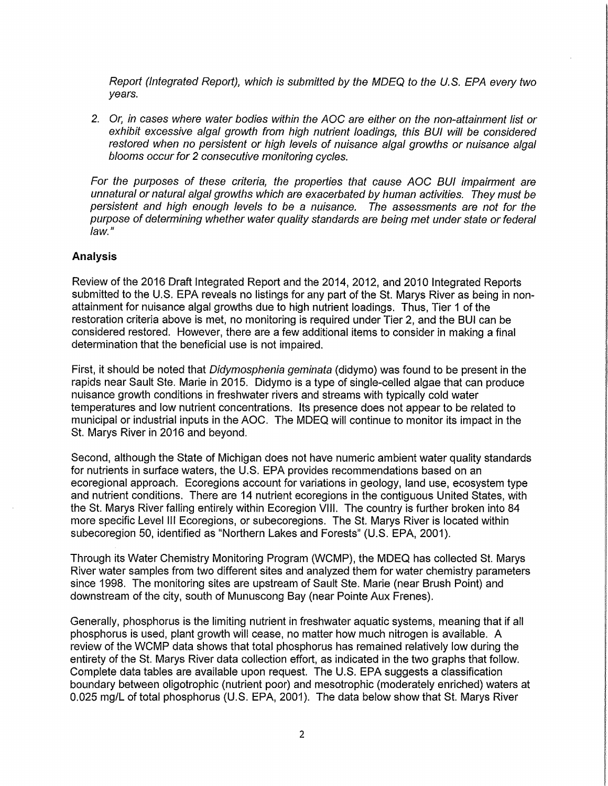Report (Integrated Report), which is submitted by the MDEQ to the U.S. EPA every two years.

2. Or, in cases where water bodies within the AOC are either on the non-attainment list or exhibit excessive algal growth from high nutrient loadings, this BUI will be considered restored when no persistent or high levels of nuisance algal growths or nuisance algal blooms occur for 2 consecutive monitoring cycles.

For the purposes of these criteria, the properties that cause AOC BUI impairment are unnatural or natural algal growths which are exacerbated by human activities. They must be persistent and high enough levels to be a nuisance. The assessments are not for the purpose of determining whether water quality standards are being met under state or federal law."

### **Analysis**

Review of the 2016 Draft Integrated Report and the 2014, 2012, and 2010 Integrated Reports submitted to the U.S. EPA reveals no listings for any part of the St. Marys River as being in nonattainment for nuisance algal growths due to high nutrient loadings. Thus, Tier 1 of the restoration criteria above is met, no monitoring is required under Tier 2, and the BUI can be considered restored. However, there are a few additional items to consider in making a final determination that the beneficial use is not impaired.

First, it should be noted that *Didymosphenia geminata* (didymo) was found to be present in the rapids near Sault Ste. Marie in 2015. Didymo is a type of single-celled algae that can produce nuisance growth conditions in freshwater rivers and streams with typically cold water temperatures and low nutrient concentrations. Its presence does not appear to be related to municipal or industrial inputs in the AOC. The MDEQ will continue to monitor its impact in the St. Marys River in 2016 and beyond.

Second, although the State of Michigan does not have numeric ambient water quality standards for nutrients in surface waters, the U.S. EPA provides recommendations based on an ecoregional approach. Ecoregions account for variations in geology, land use, ecosystem type and nutrient conditions. There are 14 nutrient ecoregions in the contiguous United States, with the St. Marys River falling entirely within Ecoregion VIII. The country is further broken into 84 more specific Level Ill Ecoregions, or subecoregions. The St. Marys River is located within subecoregion 50, identified as "Northern Lakes and Forests" (U.S. EPA, 2001).

Through its Water Chemistry Monitoring Program (WCMP), the MDEQ has collected St. Marys River water samples from two different sites and analyzed them for water chemistry parameters since 1998. The monitoring sites are upstream of Sault Ste. Marie (near Brush Point) and downstream of the city, south of Munuscong Bay (near Pointe Aux Frenes).

Generally, phosphorus is the limiting nutrient in freshwater aquatic systems, meaning that if all phosphorus is used, plant growth will cease, no matter how much nitrogen is available. A review of the WCMP data shows that total phosphorus has remained relatively low during the entirety of the St. Marys River data collection effort, as indicated in the two graphs that follow. Complete data tables are available upon request. The U.S. EPA suggests a classification boundary between oligotrophic {nutrient poor) and mesotrophic (moderately enriched) waters at 0.025 mg/L of total phosphorus (U.S. EPA, 2001). The data below show that St. Marys River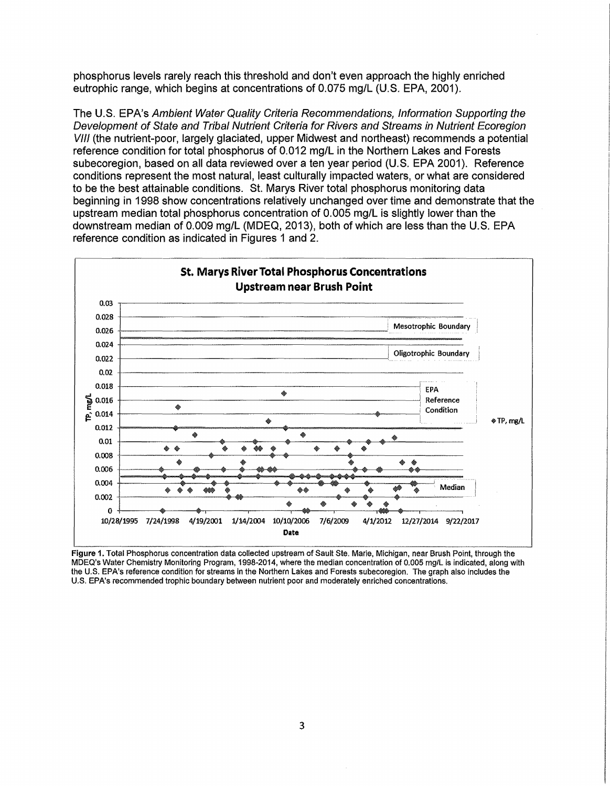phosphorus levels rarely reach this threshold and don't even approach the highly enriched eutrophic range, which begins at concentrations of 0.075 mg/L (U.S. EPA, 2001).

The U.S. EPA's Ambient Water Quality Criteria Recommendations, Information Supporting the Development of State and Tribal Nutrient Criteria for Rivers and Streams in Nutrient Ecoregion VIII (the nutrient-poor, largely glaciated, upper Midwest and northeast) recommends a potential reference condition for total phosphorus of 0.012 mg/Lin the Northern Lakes and Forests subecoregion, based on all data reviewed over a ten year period (U.S. EPA 2001}. Reference conditions represent the most natural, least culturally impacted waters, or what are considered to be the best attainable conditions. St. Marys River total phosphorus monitoring data beginning in 1998 show concentrations relatively unchanged over time and demonstrate that the upstream median total phosphorus concentration of 0.005 mg/L is slightly lower than the downstream median of 0.009 mg/L (MDEQ, 2013}, both of which are less than the U.S. EPA reference condition as indicated in Figures 1 and 2.



Figure 1. Total Phosphorus concentration data collected upstream of Sault Ste. Marie, Michigan, near Brush Point, through the MDEQ's Water Chemistry Monitoring Program, 1998-2014, where the median concentration of 0.005 mg/Lis indicated, along with the U.S. EPA's reference condition for streams in the Northern Lakes and Forests subecoregion. The graph also includes the U.S. EPA's recommended trophic boundary between nutrient poor and moderately enriched concentrations.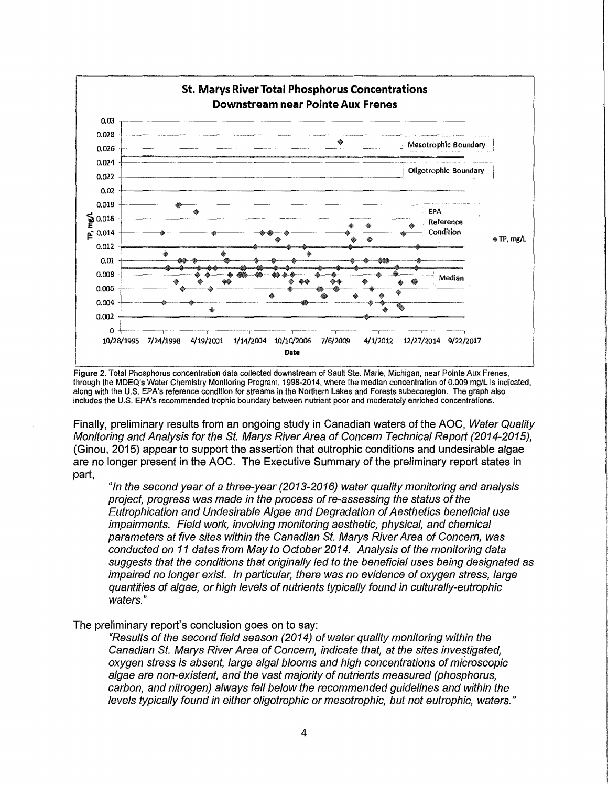

Figure 2. Total Phosphorus concentration data collected downstream of Sault Ste. Marie, Michigan, near Pointe Aux Frenes, through the MDEQ's Water Chemistry Monitoring Program, 1998-2014, where the median concentration of 0.009 mg/Lis indicated, along with the U.S. EPA's reference condition for streams in the Northern Lakes and Forests subecoregion. The graph also includes the U.S. EPA's recommended trophic boundary between nutrient poor and moderately enriched concentrations.

Finally, preliminary results from an ongoing study in Canadian waters of the AOC, Water Quality Monitoring and Analysis for the St. Marys River Area of Concern Technical Report (2014-2015), {Ginou, 2015) appear to support the assertion that eutrophic conditions and undesirable algae are no longer present in the AOC. The Executive Summary of the preliminary report states in part,

"In the second year of a three-year (2013-2016) water quality monitoring and analysis project, progress was made in the process of re-assessing the status of the Eutrophication and Undesirable Algae and Degradation of Aesthetics beneficial use impairments. Field work, involving monitoring aesthetic, physical, and chemical parameters at five sites within the Canadian St. Marys River Area of Concern, was conducted on 11 dates from May to October 2014. Analysis of the monitoring data suggests that the conditions that originally led to the beneficial uses being designated as impaired no longer exist. In particular, there was no evidence of oxygen stress, large quantities of algae, or high levels of nutrients typically found in culturally-eutrophic waters."

The preliminary report's conclusion goes on to say:

"Results of the second field season (2014) of water quality monitoring within the Canadian St. Marys River Area of Concern, indicate that, at the sites investigated, oxygen stress is absent, large algal blooms and high concentrations of microscopic algae are non-existent, and the vast majority of nutrients measured (phosphorus, carbon, and nitrogen) always fell below the recommended guidelines and within the levels typically found in either oligotrophic or mesotrophic, but not eutrophic, waters."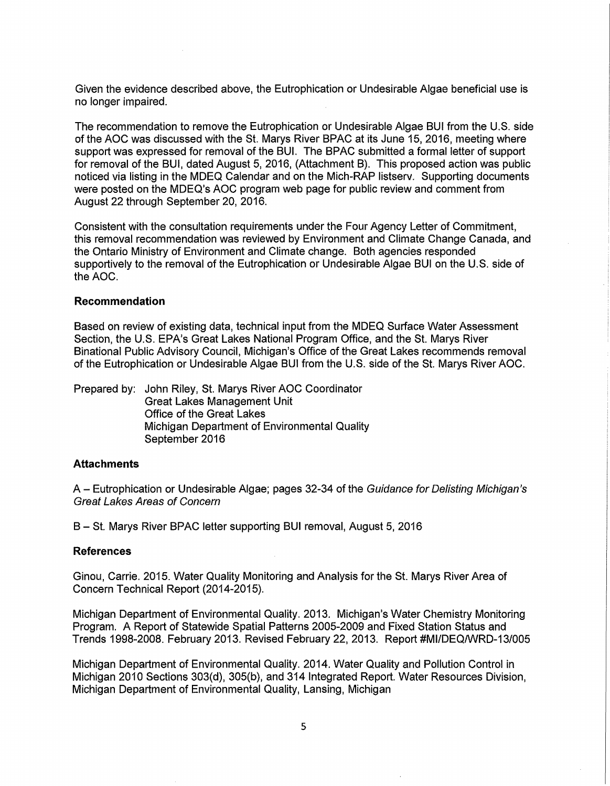Given the evidence described above, the Eutrophication or Undesirable Algae beneficial use is no longer impaired.

The recommendation to remove the Eutrophication or Undesirable Algae BUI from the U.S. side of the AOC was discussed with the St. Marys River BPAC at its June 15, 2016, meeting where support was expressed for removal of the BUI. The BPAC submitted a formal letter of support for removal of the BUI, dated August 5, 2016, (Attachment B). This proposed action was public noticed via listing in the MDEQ Calendar and on the Mich-RAP listserv. Supporting documents were posted on the MDEQ's AOC program web page for public review and comment from August 22 through September 20, 2016.

Consistent with the consultation requirements under the Four Agency Letter of Commitment, this removal recommendation was reviewed by Environment and Climate Change Canada, and the Ontario Ministry of Environment and Climate change. Both agencies responded supportively to the removal of the Eutrophication or Undesirable Algae BUI on the U.S. side of the **AOC.** 

#### **Recommendation**

Based on review of existing data, technical input from the MDEQ Surface Water Assessment Section, the U.S. EPA's Great Lakes National Program Office, and the St. Marys River Binational Public Advisory Council, Michigan's Office of the Great Lakes recommends removal of the Eutrophication or Undesirable Algae BUI from the U.S. side of the St. Marys River AOC.

Prepared by: John Riley, St. Marys River AOC Coordinator Great Lakes Management Unit Office of the Great Lakes Michigan Department of Environmental Quality September 2016

#### **Attachments**

A - Eutrophication or Undesirable Algae; pages 32-34 of the Guidance for Delisting Michigan's Great Lakes Areas of Concern

B - St. Marys River BPAC letter supporting BUI removal, August 5, 2016

#### **References**

Ginou, Carrie. 2015. Water Quality Monitoring and Analysis for the St. Marys River Area of Concern Technical Report (2014-2015}.

Michigan Department of Environmental Quality. 2013. Michigan's Water Chemistry Monitoring Program. A Report of Statewide Spatial Patterns 2005-2009 and Fixed Station Status and Trends 1998-2008. February 2013. Revised February 22, 2013. Report #MI/DEQ/WRD-13/005

Michigan Department of Environmental Quality. 2014. Water Quality and Pollution Control in Michigan 2010 Sections 303(d}, 305(b), and 314 Integrated Report. Water Resources Division, Michigan Department of Environmental Quality, Lansing, Michigan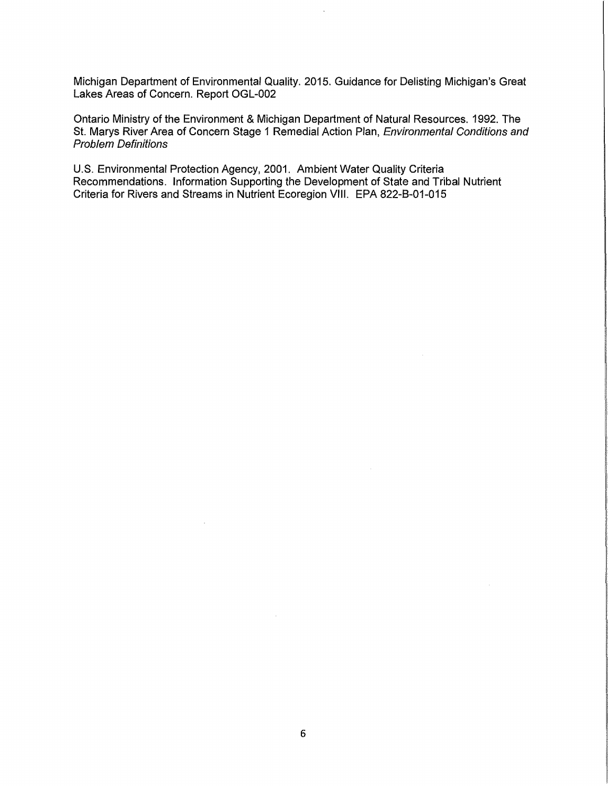Michigan Department of Environmental Quality. 2015. Guidance for Delisting Michigan's Great Lakes Areas of Concern. Report OGL-002

Ontario Ministry of the Environment & Michigan Department of Natural Resources. 1992. The St. Marys River Area of Concern Stage 1 Remedial Action Plan, Environmental Conditions and Problem Definitions

U.S. Environmental Protection Agency, 2001. Ambient Water Quality Criteria Recommendations. Information Supporting the Development of State and Tribal Nutrient Criteria for Rivers and Streams in Nutrient Ecoregion VIII. EPA 822-8-01-015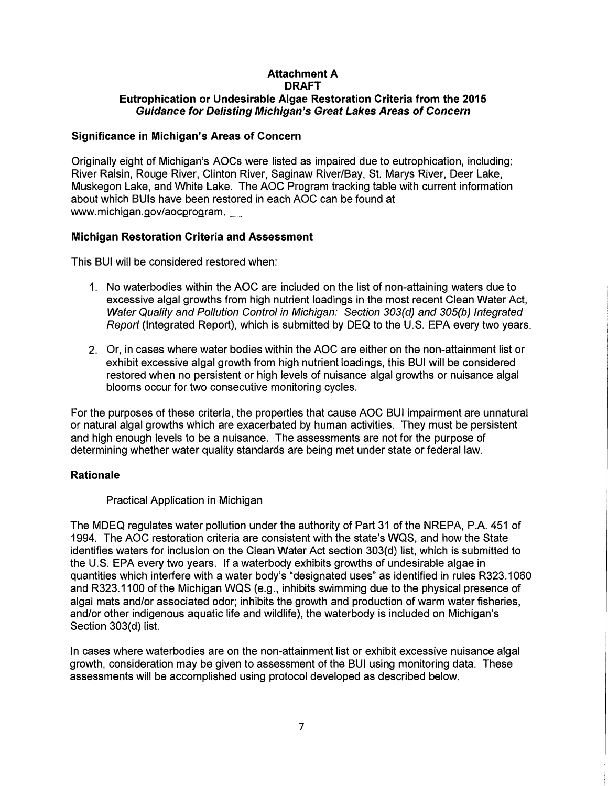## **Attachment A DRAFT Eutrophication or Undesirable Algae Restoration Criteria from the 2015**  *Guidance for Delisting Michigan's Great Lakes Areas of Concern*

### **Significance in Michigan's Areas of Concern**

Originally eight of Michigan's AOCs were listed as impaired due to eutrophication, including: River Raisin, Rouge River, Clinton River, Saginaw River/Bay, St. Marys River, Deer Lake, Muskegon Lake, and White Lake. The AOC Program tracking table with current information about which BUls have been restored in each AOC can be found at www.michigan.gov/aocprogram.

### **Michigan Restoration Criteria and Assessment**

This BUI will be considered restored when:

- 1. No waterbodies within the AOC are included on the list of non-attaining waters due to excessive algal growths from high nutrient loadings in the most recent Clean Water Act, *Water Quality and Pollution Control in Michigan: Section 303(d) and 305(b) Integrated Report* (Integrated Report), which is submitted by DEQ to the U.S. EPA every two years.
- 2. Or, in cases where water bodies within the AOC are either on the non-attainment list or exhibit excessive algal growth from high nutrient loadings, this BUI will be considered restored when no persistent or high levels of nuisance algal growths or nuisance algal blooms occur for two consecutive monitoring cycles.

For the purposes of these criteria, the properties that cause AOC BUI impairment are unnatural or natural algal growths which are exacerbated by human activities. They must be persistent and high enough levels to be a nuisance. The assessments are not for the purpose of determining whether water quality standards are being met under state or federal law.

## **Rationale**

### Practical Application in Michigan

The MDEQ regulates water pollution under the authority of Part 31 of the NREPA, P.A. 451 of 1994. The AOC restoration criteria are consistent with the state's WQS, and how the State identifies waters for inclusion on the Clean Water Act section 303(d) list, which is submitted to the U.S. EPA every two years. If a waterbody exhibits growths of undesirable algae in quantities which interfere with a water body's "designated uses" as identified in rules R323.1060 and R323.1100 of the Michigan WQS (e.g., inhibits swimming due to the physical presence of algal mats and/or associated odor; inhibits the growth and production of warm water fisheries, and/or other indigenous aquatic life and wildlife), the waterbody is included on Michigan's Section 303(d) list.

In cases where waterbodies are on the non-attainment list or exhibit excessive nuisance algal growth, consideration may be given to assessment of the BUI using monitoring data. These assessments will be accomplished using protocol developed as described below.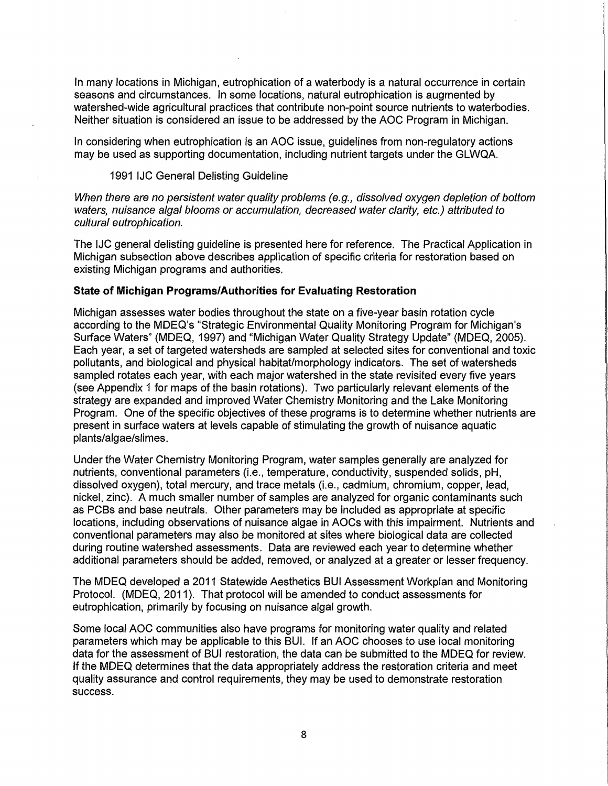In many locations in Michigan, eutrophication of a waterbody is a natural occurrence in certain seasons and circumstances. In some locations, natural eutrophication is augmented by watershed-wide agricultural practices that contribute non-point source nutrients to waterbodies. Neither situation is considered an issue to be addressed by the AOC Program in Michigan.

In considering when eutrophication is an AOC issue, guidelines from non-regulatory actions may be used as supporting documentation, including nutrient targets under the GLWQA.

#### 1991 IJC General Delisting Guideline

When there are no persistent water quality problems (e.g., dissolved oxygen depletion of bottom waters, nuisance algal blooms or accumulation, decreased water clarity, etc.) attributed to cultural eutrophication.

The IJC general delisting guideline is presented here for reference. The Practical Application in Michigan subsection above describes application of specific criteria for restoration based on existing Michigan programs and authorities.

#### **State of Michigan Programs/Authorities for Evaluating Restoration**

Michigan assesses water bodies throughout the state on a five-year basin rotation cycle according to the MDEQ's "Strategic Environmental Quality Monitoring Program for Michigan's Surface Waters" (MDEQ, 1997) and "Michigan Water Quality Strategy Update" (MDEQ, 2005). Each year, a set of targeted watersheds are sampled at selected sites for conventional and toxic pollutants, and biological and physical habitat/morphology indicators. The set of watersheds sampled rotates each year, with each major watershed in the state revisited every five years (see Appendix 1 for maps of the basin rotations). Two particularly relevant elements of the strategy are expanded and improved Water Chemistry Monitoring and the Lake Monitoring Program. One of the specific objectives of these programs is to determine whether nutrients are present in surface waters at levels capable of stimulating the growth of nuisance aquatic plants/algae/slimes.

Under the Water Chemistry Monitoring Program, water samples generally are analyzed for nutrients, conventional parameters (i.e., temperature, conductivity, suspended solids, pH, dissolved oxygen), total mercury, and trace metals (i.e., cadmium, chromium, copper, lead, nickel, zinc}. A much smaller number of samples are analyzed for organic contaminants such as PCBs and base neutrals. Other parameters may be included as appropriate at specific locations, including observations of nuisance algae in AOCs with this impairment. Nutrients and conventional parameters may also be monitored at sites where biological data are collected during routine watershed assessments. Data are reviewed each year to determine whether additional parameters should be added, removed, or analyzed at a greater or lesser frequency.

The MDEQ developed a 2011 Statewide Aesthetics BUI Assessment Workplan and Monitoring Protocol. (MDEQ, 2011). That protocol will be amended to conduct assessments for eutrophication, primarily by focusing on nuisance algal growth.

Some local AOC communities also have programs for monitoring water quality and related parameters which may be applicable to this BUI. If an AOC chooses to use local monitoring data for the assessment of BUI restoration, the data can be submitted to the MDEQ for review. If the MDEQ determines that the data appropriately address the restoration criteria and meet quality assurance and control requirements, they may be used to demonstrate restoration success.